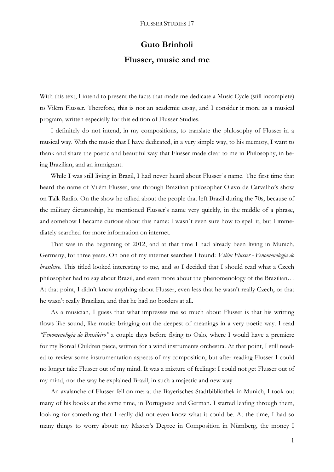## **Guto Brinholi**

## **Flusser, music and me**

With this text, I intend to present the facts that made me dedicate a Music Cycle (still incomplete) to Vilém Flusser. Therefore, this is not an academic essay, and I consider it more as a musical program, written especially for this edition of Flusser Studies.

I definitely do not intend, in my compositions, to translate the philosophy of Flusser in a musical way. With the music that I have dedicated, in a very simple way, to his memory, I want to thank and share the poetic and beautiful way that Flusser made clear to me in Philosophy, in being Brazilian, and an immigrant.

While I was still living in Brazil, I had never heard about Flusser`s name. The first time that heard the name of Vilém Flusser, was through Brazilian philosopher Olavo de Carvalho's show on Talk Radio. On the show he talked about the people that left Brazil during the 70s, because of the military dictatorship, he mentioned Flusser's name very quickly, in the middle of a phrase, and somehow I became curious about this name: I wasn`t even sure how to spell it, but I immediately searched for more information on internet.

That was in the beginning of 2012, and at that time I had already been living in Munich, Germany, for three years. On one of my internet searches I found: *Vilém Flusser - Fenomenologia do brasileiro*. This titled looked interesting to me, and so I decided that I should read what a Czech philosopher had to say about Brazil, and even more about the phenomenology of the Brazilian… At that point, I didn't know anything about Flusser, even less that he wasn't really Czech, or that he wasn't really Brazilian, and that he had no borders at all.

As a musician, I guess that what impresses me so much about Flusser is that his writting flows like sound, like music: bringing out the deepest of meanings in a very poetic way. I read *"Fenomenologia do Brasileiro"* a couple days before flying to Oslo, where I would have a premiere for my Boreal Children piece, written for a wind instruments orchestra. At that point, I still needed to review some instrumentation aspects of my composition, but after reading Flusser I could no longer take Flusser out of my mind. It was a mixture of feelings: I could not get Flusser out of my mind, nor the way he explained Brazil, in such a majestic and new way.

An avalanche of Flusser fell on me: at the Bayerisches Stadtbibliothek in Munich, I took out many of his books at the same time, in Portuguese and German. I started leafing through them, looking for something that I really did not even know what it could be. At the time, I had so many things to worry about: my Master's Degree in Composition in Nürnberg, the money I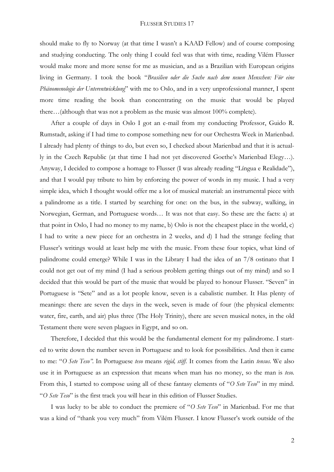## FLUSSER STUDIES 17

should make to fly to Norway (at that time I wasn't a KAAD Fellow) and of course composing and studying conducting. The only thing I could feel was that with time, reading Vilém Flusser would make more and more sense for me as musician, and as a Brazilian with European origins living in Germany. I took the book "*Brasilien oder die Suche nach dem neuen Menschen: Für eine Phänomenologie der Unterentwicklung*" with me to Oslo, and in a very unprofessional manner, I spent more time reading the book than concentrating on the music that would be played there…(although that was not a problem as the music was almost 100% complete).

After a couple of days in Oslo I got an e-mail from my conducting Professor, Guido R. Rumstadt, asking if I had time to compose something new for our Orchestra Week in Marienbad. I already had plenty of things to do, but even so, I checked about Marienbad and that it is actually in the Czech Republic (at that time I had not yet discovered Goethe's Marienbad Elegy…). Anyway, I decided to compose a homage to Flusser (I was already reading "Língua e Realidade"), and that I would pay tribute to him by enforcing the power of words in my music. I had a very simple idea, which I thought would offer me a lot of musical material: an instrumental piece with a palindrome as a title. I started by searching for one: on the bus, in the subway, walking, in Norwegian, German, and Portuguese words… It was not that easy. So these are the facts: a) at that point in Oslo, I had no money to my name, b) Oslo is not the cheapest place in the world, c) I had to write a new piece for an orchestra in 2 weeks, and d) I had the strange feeling that Flusser's writings would at least help me with the music. From these four topics, what kind of palindrome could emerge? While I was in the Library I had the idea of an 7/8 ostinato that I could not get out of my mind (I had a serious problem getting things out of my mind) and so I decided that this would be part of the music that would be played to honour Flusser. "Seven" in Portuguese is "Sete" and as a lot people know, seven is a cabalistic number. It Has plenty of meanings: there are seven the days in the week, seven is made of four (the physical elements: water, fire, earth, and air) plus three (The Holy Trinity), there are seven musical notes, in the old Testament there were seven plagues in Egypt, and so on.

Therefore, I decided that this would be the fundamental element for my palindrome. I started to write down the number seven in Portuguese and to look for possibilities. And then it came to me: "*O Sete Teso".* In Portuguese *teso* means *rigid, stiff*. It comes from the Latin *tensus.* We also use it in Portuguese as an expression that means when man has no money, so the man is *teso.*  From this, I started to compose using all of these fantasy elements of "*O Sete Teso*" in my mind. "*O Sete Teso*" is the first track you will hear in this edition of Flusser Studies.

I was lucky to be able to conduct the premiere of "*O Sete Teso*" in Marienbad. For me that was a kind of "thank you very much" from Vilém Flusser. I know Flusser's work outside of the